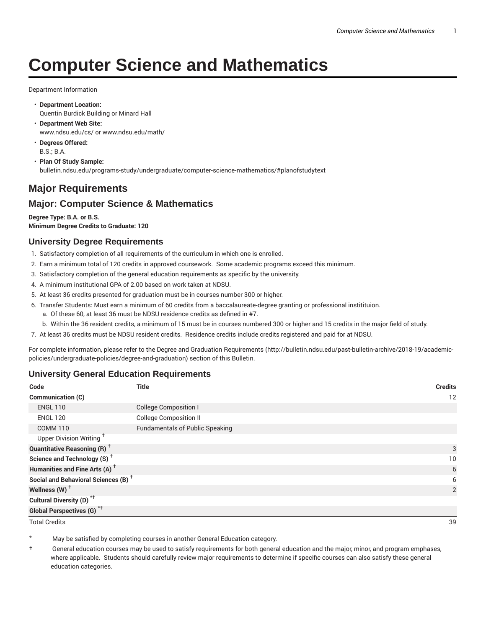# **Computer Science and Mathematics**

Department Information

- **Department Location:** Quentin Burdick Building or Minard Hall
- **Department Web Site:** www.ndsu.edu/cs/ or www.ndsu.edu/math/
- **Degrees Offered:** B.S.; B.A.
- **Plan Of Study Sample:** bulletin.ndsu.edu/programs-study/undergraduate/computer-science-mathematics/#planofstudytext

# **Major Requirements**

## **Major: Computer Science & Mathematics**

**Degree Type: B.A. or B.S. Minimum Degree Credits to Graduate: 120**

### **University Degree Requirements**

- 1. Satisfactory completion of all requirements of the curriculum in which one is enrolled.
- 2. Earn a minimum total of 120 credits in approved coursework. Some academic programs exceed this minimum.
- 3. Satisfactory completion of the general education requirements as specific by the university.
- 4. A minimum institutional GPA of 2.00 based on work taken at NDSU.
- 5. At least 36 credits presented for graduation must be in courses number 300 or higher.
- 6. Transfer Students: Must earn a minimum of 60 credits from a baccalaureate-degree granting or professional institituion.
	- a. Of these 60, at least 36 must be NDSU residence credits as defined in #7.
	- b. Within the 36 resident credits, a minimum of 15 must be in courses numbered 300 or higher and 15 credits in the major field of study.
- 7. At least 36 credits must be NDSU resident credits. Residence credits include credits registered and paid for at NDSU.

For complete information, please refer to the Degree and Graduation Requirements (http://bulletin.ndsu.edu/past-bulletin-archive/2018-19/academicpolicies/undergraduate-policies/degree-and-graduation) section of this Bulletin.

#### **University General Education Requirements**

| Code                                            | <b>Title</b>                           | <b>Credits</b> |
|-------------------------------------------------|----------------------------------------|----------------|
| <b>Communication (C)</b>                        |                                        | 12             |
| <b>ENGL 110</b>                                 | <b>College Composition I</b>           |                |
| <b>ENGL 120</b>                                 | <b>College Composition II</b>          |                |
| <b>COMM 110</b>                                 | <b>Fundamentals of Public Speaking</b> |                |
| Upper Division Writing <sup>+</sup>             |                                        |                |
| <b>Quantitative Reasoning (R)</b> <sup>†</sup>  |                                        | 3              |
| Science and Technology (S) <sup>+</sup>         |                                        | 10             |
| Humanities and Fine Arts (A) <sup>+</sup>       |                                        | 6              |
| Social and Behavioral Sciences (B) <sup>+</sup> |                                        | 6              |
| Wellness $(W)$ <sup>+</sup>                     |                                        | 2              |
| Cultural Diversity (D) <sup>*†</sup>            |                                        |                |
| Global Perspectives (G) <sup>*†</sup>           |                                        |                |

Total Credits 39

May be satisfied by completing courses in another General Education category.

† General education courses may be used to satisfy requirements for both general education and the major, minor, and program emphases, where applicable. Students should carefully review major requirements to determine if specific courses can also satisfy these general education categories.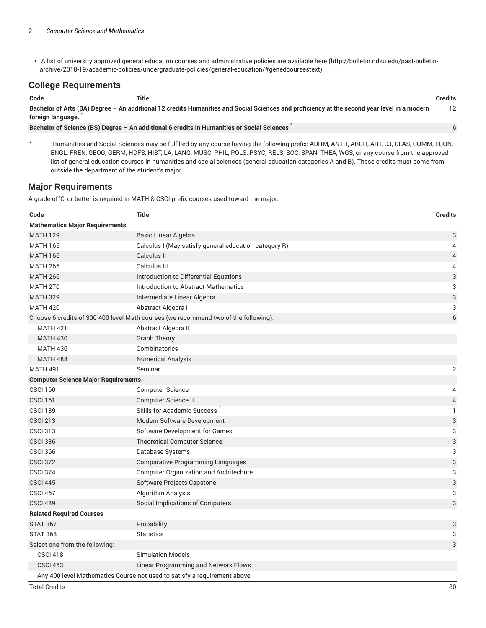• A list of university approved general education courses and administrative policies are available here (http://bulletin.ndsu.edu/past-bulletinarchive/2018-19/academic-policies/undergraduate-policies/general-education/#genedcoursestext).

#### **College Requirements**

| Code              | Title                                                                                                                                       | Credits |
|-------------------|---------------------------------------------------------------------------------------------------------------------------------------------|---------|
| foreign language. | Bachelor of Arts (BA) Degree – An additional 12 credits Humanities and Social Sciences and proficiency at the second year level in a modern | 12      |
|                   | Bachelor of Science (BS) Degree - An additional 6 credits in Humanities or Social Sciences                                                  |         |

\* Humanities and Social Sciences may be fulfilled by any course having the following prefix: ADHM, ANTH, ARCH, ART, CJ, CLAS, COMM, ECON, ENGL, FREN, GEOG, GERM, HDFS, HIST, LA, LANG, MUSC, PHIL, POLS, PSYC, RELS, SOC, SPAN, THEA, WGS, or any course from the approved list of general education courses in humanities and social sciences (general education categories A and B). These credits must come from outside the department of the student's major.

#### **Major Requirements**

A grade of 'C' or better is required in MATH & CSCI prefix courses used toward the major.

| Code                                       | <b>Title</b>                                                                        | <b>Credits</b>           |  |  |
|--------------------------------------------|-------------------------------------------------------------------------------------|--------------------------|--|--|
| <b>Mathematics Major Requirements</b>      |                                                                                     |                          |  |  |
| <b>MATH 129</b>                            | <b>Basic Linear Algebra</b>                                                         | 3                        |  |  |
| <b>MATH 165</b>                            | Calculus I (May satisfy general education category R)                               | 4                        |  |  |
| <b>MATH 166</b>                            | Calculus II                                                                         | $\overline{\mathcal{A}}$ |  |  |
| <b>MATH 265</b>                            | Calculus III                                                                        | 4                        |  |  |
| <b>MATH 266</b>                            | Introduction to Differential Equations                                              | 3                        |  |  |
| <b>MATH 270</b>                            | Introduction to Abstract Mathematics                                                | 3                        |  |  |
| <b>MATH 329</b>                            | Intermediate Linear Algebra                                                         | 3                        |  |  |
| <b>MATH 420</b>                            | Abstract Algebra I                                                                  | 3                        |  |  |
|                                            | Choose 6 credits of 300-400 level Math courses (we recommend two of the following): | 6                        |  |  |
| <b>MATH 421</b>                            | Abstract Algebra II                                                                 |                          |  |  |
| <b>MATH 430</b>                            | <b>Graph Theory</b>                                                                 |                          |  |  |
| <b>MATH 436</b>                            | Combinatorics                                                                       |                          |  |  |
| <b>MATH 488</b>                            | <b>Numerical Analysis I</b>                                                         |                          |  |  |
| <b>MATH 491</b>                            | Seminar                                                                             | 2                        |  |  |
| <b>Computer Science Major Requirements</b> |                                                                                     |                          |  |  |
| <b>CSCI 160</b>                            | Computer Science I                                                                  | 4                        |  |  |
| <b>CSCI 161</b>                            | Computer Science II                                                                 | $\overline{4}$           |  |  |
| <b>CSCI 189</b>                            | Skills for Academic Success <sup>1</sup>                                            | $\mathbf{1}$             |  |  |
| <b>CSCI 213</b>                            | Modern Software Development                                                         | 3                        |  |  |
| <b>CSCI 313</b>                            | Software Development for Games                                                      | 3                        |  |  |
| <b>CSCI 336</b>                            | <b>Theoretical Computer Science</b>                                                 | 3                        |  |  |
| <b>CSCI 366</b>                            | Database Systems                                                                    | 3                        |  |  |
| <b>CSCI 372</b>                            | <b>Comparative Programming Languages</b>                                            | 3                        |  |  |
| <b>CSCI 374</b>                            | <b>Computer Organization and Architechure</b>                                       | 3                        |  |  |
| <b>CSCI 445</b>                            | Software Projects Capstone                                                          | 3                        |  |  |
| CSCI 467                                   | Algorithm Analysis                                                                  | 3                        |  |  |
| CSCI 489                                   | Social Implications of Computers                                                    | 3                        |  |  |
| <b>Related Required Courses</b>            |                                                                                     |                          |  |  |
| <b>STAT 367</b>                            | Probability                                                                         | 3                        |  |  |
| <b>STAT 368</b>                            | <b>Statistics</b>                                                                   | 3                        |  |  |
| Select one from the following:             |                                                                                     | 3                        |  |  |
| CSCI 418                                   | <b>Simulation Models</b>                                                            |                          |  |  |
| <b>CSCI 453</b>                            | Linear Programming and Network Flows                                                |                          |  |  |
|                                            | Any 400 level Mathematics Course not used to satisfy a requirement above            |                          |  |  |